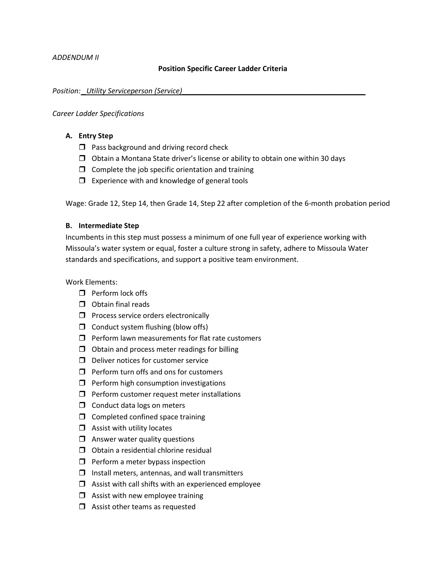## **Position Specific Career Ladder Criteria**

### *Position: \_Utility Serviceperson (Service)\_\_\_\_\_\_\_\_\_\_\_\_\_\_\_\_\_\_\_\_\_\_\_\_\_\_\_\_\_\_\_\_\_\_\_\_\_\_\_\_\_\_\_\_\_\_*

### *Career Ladder Specifications*

## **A. Entry Step**

- $\Box$  Pass background and driving record check
- $\Box$  Obtain a Montana State driver's license or ability to obtain one within 30 days
- $\Box$  Complete the job specific orientation and training
- $\Box$  Experience with and knowledge of general tools

Wage: Grade 12, Step 14, then Grade 14, Step 22 after completion of the 6-month probation period

# **B. Intermediate Step**

Incumbents in this step must possess a minimum of one full year of experience working with Missoula's water system or equal, foster a culture strong in safety, adhere to Missoula Water standards and specifications, and support a positive team environment.

Work Elements:

- $\Box$  Perform lock offs
- $\Box$  Obtain final reads
- $\Box$  Process service orders electronically
- $\Box$  Conduct system flushing (blow offs)
- $\Box$  Perform lawn measurements for flat rate customers
- $\Box$  Obtain and process meter readings for billing
- $\Box$  Deliver notices for customer service
- $\Box$  Perform turn offs and ons for customers
- $\Box$  Perform high consumption investigations
- $\Box$  Perform customer request meter installations
- $\Box$  Conduct data logs on meters
- $\Box$  Completed confined space training
- $\Box$  Assist with utility locates
- $\Box$  Answer water quality questions
- $\Box$  Obtain a residential chlorine residual
- $\Box$  Perform a meter bypass inspection
- $\Box$  Install meters, antennas, and wall transmitters
- $\Box$  Assist with call shifts with an experienced employee
- $\Box$  Assist with new employee training
- $\Box$  Assist other teams as requested